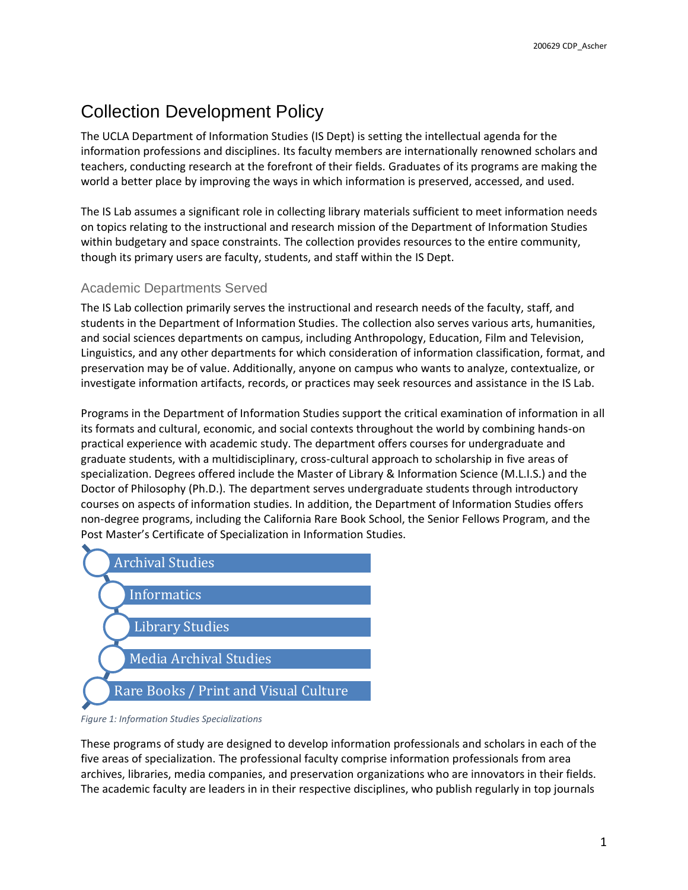# Collection Development Policy

The UCLA Department of Information Studies (IS Dept) is setting the intellectual agenda for the information professions and disciplines. Its faculty members are internationally renowned scholars and teachers, conducting research at the forefront of their fields. Graduates of its programs are making the world a better place by improving the ways in which information is preserved, accessed, and used.

The IS Lab assumes a significant role in collecting library materials sufficient to meet information needs on topics relating to the instructional and research mission of the Department of Information Studies within budgetary and space constraints. The collection provides resources to the entire community, though its primary users are faculty, students, and staff within the IS Dept.

# Academic Departments Served

The IS Lab collection primarily serves the instructional and research needs of the faculty, staff, and students in the Department of Information Studies. The collection also serves various arts, humanities, and social sciences departments on campus, including Anthropology, Education, Film and Television, Linguistics, and any other departments for which consideration of information classification, format, and preservation may be of value. Additionally, anyone on campus who wants to analyze, contextualize, or investigate information artifacts, records, or practices may seek resources and assistance in the IS Lab.

Programs in the Department of Information Studies support the critical examination of information in all its formats and cultural, economic, and social contexts throughout the world by combining hands-on practical experience with academic study. The department offers courses for undergraduate and graduate students, with a multidisciplinary, cross-cultural approach to scholarship in five areas of specialization. Degrees offered include the Master of Library & Information Science (M.L.I.S.) and the Doctor of Philosophy (Ph.D.). The department serves undergraduate students through introductory courses on aspects of information studies. In addition, the Department of Information Studies offers non-degree programs, including the California Rare Book School, the Senior Fellows Program, and the Post Master's Certificate of Specialization in Information Studies.



*Figure 1: Information Studies Specializations*

These programs of study are designed to develop information professionals and scholars in each of the five areas of specialization. The professional faculty comprise information professionals from area archives, libraries, media companies, and preservation organizations who are innovators in their fields. The academic faculty are leaders in in their respective disciplines, who publish regularly in top journals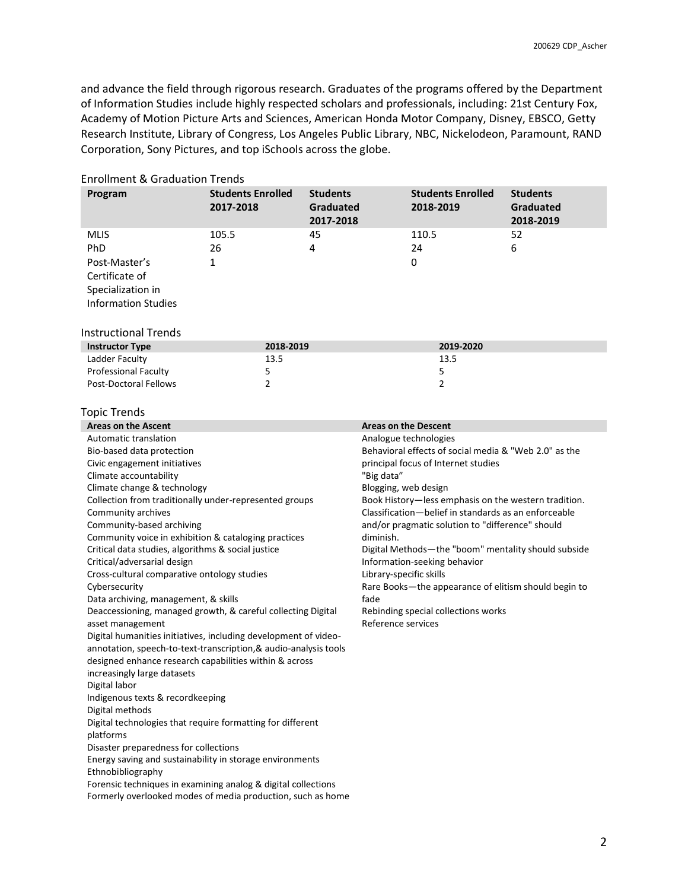and advance the field through rigorous research. Graduates of the programs offered by the Department of Information Studies include highly respected scholars and professionals, including: 21st Century Fox, Academy of Motion Picture Arts and Sciences, American Honda Motor Company, Disney, EBSCO, Getty Research Institute, Library of Congress, Los Angeles Public Library, NBC, Nickelodeon, Paramount, RAND Corporation, Sony Pictures, and top iSchools across the globe.

#### Enrollment & Graduation Trends

| Program                                                                                                  | <b>Students Enrolled</b><br>2017-2018 | <b>Students</b><br>Graduated<br>2017-2018 |                                                      | <b>Students Enrolled</b><br>2018-2019                 | <b>Students</b><br>Graduated<br>2018-2019 |  |  |
|----------------------------------------------------------------------------------------------------------|---------------------------------------|-------------------------------------------|------------------------------------------------------|-------------------------------------------------------|-------------------------------------------|--|--|
| <b>MLIS</b><br>PhD<br>Post-Master's<br>Certificate of<br>Specialization in<br><b>Information Studies</b> | 105.5<br>26<br>$\mathbf{1}$           | 45<br>4                                   |                                                      | 110.5<br>24<br>0                                      | 52<br>6                                   |  |  |
| <b>Instructional Trends</b>                                                                              |                                       |                                           |                                                      |                                                       |                                           |  |  |
| <b>Instructor Type</b>                                                                                   | 2018-2019                             |                                           |                                                      | 2019-2020                                             |                                           |  |  |
| Ladder Faculty                                                                                           | 13.5                                  |                                           |                                                      | 13.5                                                  |                                           |  |  |
| Professional Faculty                                                                                     | 5                                     |                                           |                                                      | 5                                                     |                                           |  |  |
| Post-Doctoral Fellows                                                                                    | 2                                     |                                           |                                                      | 2                                                     |                                           |  |  |
| <b>Topic Trends</b>                                                                                      |                                       |                                           |                                                      |                                                       |                                           |  |  |
| <b>Areas on the Ascent</b>                                                                               |                                       |                                           | <b>Areas on the Descent</b>                          |                                                       |                                           |  |  |
| Automatic translation                                                                                    |                                       |                                           |                                                      | Analogue technologies                                 |                                           |  |  |
| Bio-based data protection                                                                                |                                       |                                           |                                                      | Behavioral effects of social media & "Web 2.0" as the |                                           |  |  |
| Civic engagement initiatives                                                                             |                                       |                                           | principal focus of Internet studies                  |                                                       |                                           |  |  |
| Climate accountability                                                                                   |                                       |                                           | "Big data"                                           |                                                       |                                           |  |  |
| Climate change & technology                                                                              |                                       |                                           | Blogging, web design                                 |                                                       |                                           |  |  |
| Collection from traditionally under-represented groups                                                   |                                       |                                           | Book History-less emphasis on the western tradition. |                                                       |                                           |  |  |
| Community archives                                                                                       |                                       |                                           |                                                      | Classification-belief in standards as an enforceable  |                                           |  |  |
| Community-based archiving                                                                                |                                       |                                           | and/or pragmatic solution to "difference" should     |                                                       |                                           |  |  |
| Community voice in exhibition & cataloging practices                                                     |                                       |                                           | diminish.                                            |                                                       |                                           |  |  |
| Critical data studies, algorithms & social justice                                                       |                                       |                                           |                                                      | Digital Methods-the "boom" mentality should subside   |                                           |  |  |
| Critical/adversarial design                                                                              |                                       |                                           |                                                      | Information-seeking behavior                          |                                           |  |  |
| Cross-cultural comparative ontology studies                                                              |                                       |                                           | Library-specific skills                              |                                                       |                                           |  |  |
| Cybersecurity                                                                                            |                                       |                                           |                                                      | Rare Books-the appearance of elitism should begin to  |                                           |  |  |
| Data archiving, management, & skills                                                                     |                                       |                                           | fade                                                 |                                                       |                                           |  |  |
| Deaccessioning, managed growth, & careful collecting Digital                                             |                                       |                                           | Reference services                                   | Rebinding special collections works                   |                                           |  |  |
| asset management<br>Digital humanities initiatives, including development of video-                      |                                       |                                           |                                                      |                                                       |                                           |  |  |
| annotation, speech-to-text-transcription,& audio-analysis tools                                          |                                       |                                           |                                                      |                                                       |                                           |  |  |
| designed enhance research capabilities within & across                                                   |                                       |                                           |                                                      |                                                       |                                           |  |  |
| increasingly large datasets                                                                              |                                       |                                           |                                                      |                                                       |                                           |  |  |
|                                                                                                          |                                       |                                           |                                                      |                                                       |                                           |  |  |
| Digital labor                                                                                            |                                       |                                           |                                                      |                                                       |                                           |  |  |
| Indigenous texts & recordkeeping<br>Digital methods                                                      |                                       |                                           |                                                      |                                                       |                                           |  |  |
|                                                                                                          |                                       |                                           |                                                      |                                                       |                                           |  |  |
| Digital technologies that require formatting for different<br>platforms                                  |                                       |                                           |                                                      |                                                       |                                           |  |  |
| Disaster preparedness for collections                                                                    |                                       |                                           |                                                      |                                                       |                                           |  |  |
| Energy saving and sustainability in storage environments<br>Ethnobibliography                            |                                       |                                           |                                                      |                                                       |                                           |  |  |
| Forensic techniques in examining analog & digital collections                                            |                                       |                                           |                                                      |                                                       |                                           |  |  |
| Formerly overlooked modes of media production, such as home                                              |                                       |                                           |                                                      |                                                       |                                           |  |  |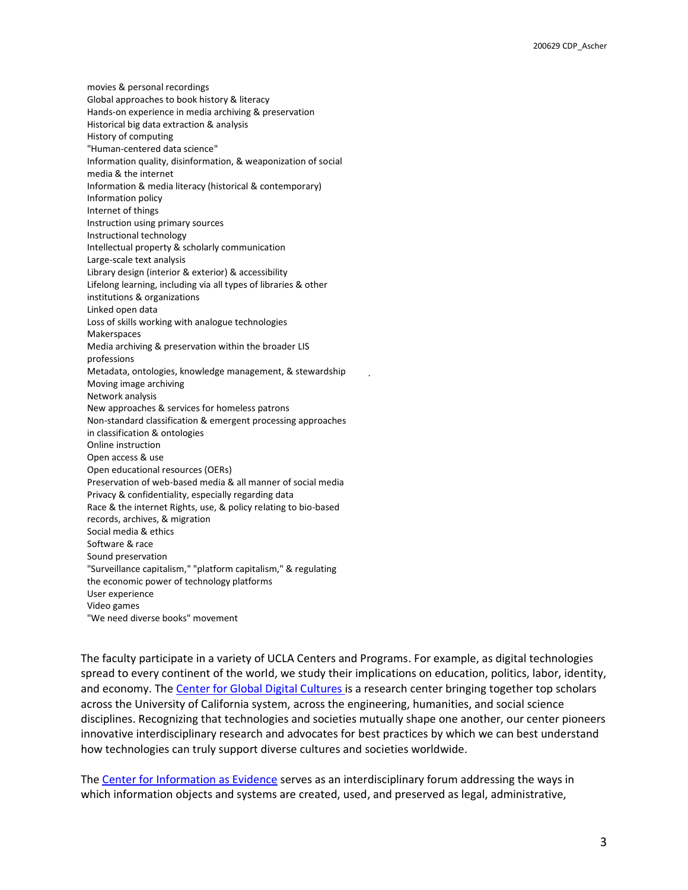movies & personal recordings Global approaches to book history & literacy Hands-on experience in media archiving & preservation Historical big data extraction & analysis History of computing "Human-centered data science" Information quality, disinformation, & weaponization of social media & the internet Information & media literacy (historical & contemporary) Information policy Internet of things Instruction using primary sources Instructional technology Intellectual property & scholarly communication Large-scale text analysis Library design (interior & exterior) & accessibility Lifelong learning, including via all types of libraries & other institutions & organizations Linked open data Loss of skills working with analogue technologies Makerspaces Media archiving & preservation within the broader LIS professions Metadata, ontologies, knowledge management, & stewardship Moving image archiving Network analysis New approaches & services for homeless patrons Non-standard classification & emergent processing approaches in classification & ontologies Online instruction Open access & use Open educational resources (OERs) Preservation of web-based media & all manner of social media Privacy & confidentiality, especially regarding data Race & the internet Rights, use, & policy relating to bio-based records, archives, & migration Social media & ethics Software & race Sound preservation "Surveillance capitalism," "platform capitalism," & regulating the economic power of technology platforms User experience Video games "We need diverse books" movement

The faculty participate in a variety of UCLA Centers and Programs. For example, as digital technologies spread to every continent of the world, we study their implications on education, politics, labor, identity, and economy. The [Center for Global Digital Cultures](http://www.globaldigitalcultures.org/) is a research center bringing together top scholars across the University of California system, across the engineering, humanities, and social science disciplines. Recognizing that technologies and societies mutually shape one another, our center pioneers innovative interdisciplinary research and advocates for best practices by which we can best understand how technologies can truly support diverse cultures and societies worldwide.

.

The [Center for Information as Evidence](https://informationasevidence.org/) serves as an interdisciplinary forum addressing the ways in which information objects and systems are created, used, and preserved as legal, administrative,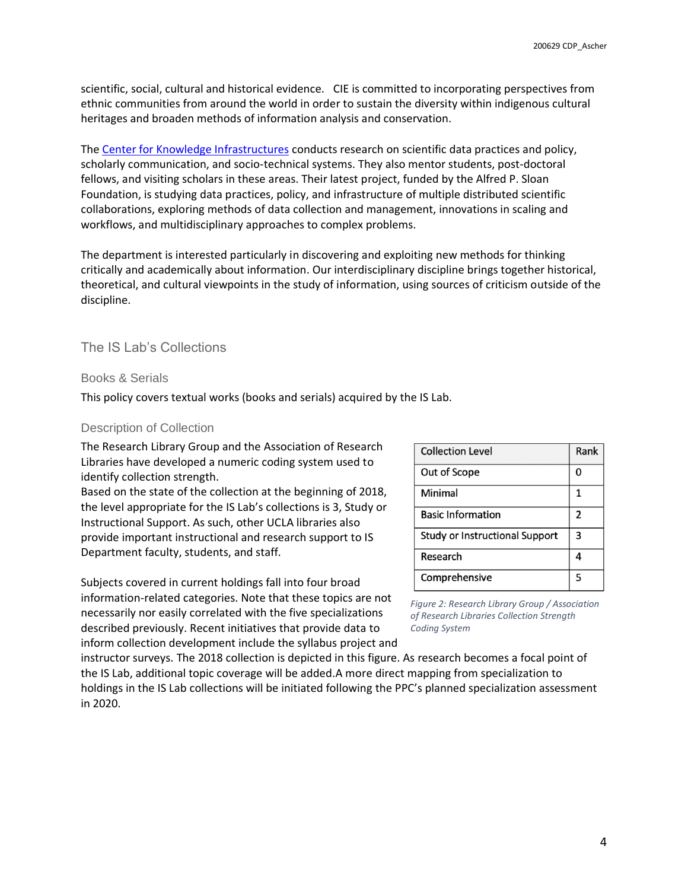scientific, social, cultural and historical evidence. CIE is committed to incorporating perspectives from ethnic communities from around the world in order to sustain the diversity within indigenous cultural heritages and broaden methods of information analysis and conservation.

The [Center for Knowledge Infrastructures](https://knowledgeinfrastructures.gseis.ucla.edu/) conducts research on scientific data practices and policy, scholarly communication, and socio-technical systems. They also mentor students, post-doctoral fellows, and visiting scholars in these areas. Their latest project, funded by the Alfred P. Sloan Foundation, is studying data practices, policy, and infrastructure of multiple distributed scientific collaborations, exploring methods of data collection and management, innovations in scaling and workflows, and multidisciplinary approaches to complex problems.

The department is interested particularly in discovering and exploiting new methods for thinking critically and academically about information. Our interdisciplinary discipline brings together historical, theoretical, and cultural viewpoints in the study of information, using sources of criticism outside of the discipline.

### The IS Lab's Collections

#### Books & Serials

This policy covers textual works (books and serials) acquired by the IS Lab.

#### Description of Collection

The Research Library Group and the Association of Research Libraries have developed a numeric coding system used to identify collection strength.

Based on the state of the collection at the beginning of 2018, the level appropriate for the IS Lab's collections is 3, Study or Instructional Support. As such, other UCLA libraries also provide important instructional and research support to IS Department faculty, students, and staff.

Subjects covered in current holdings fall into four broad information-related categories. Note that these topics are not necessarily nor easily correlated with the five specializations described previously. Recent initiatives that provide data to inform collection development include the syllabus project and

**Collection Level** Rank Out of Scope 0 Minimal  $\mathbf{1}$ **Basic Information**  $\overline{2}$ 3 **Study or Instructional Support** Research 4 Comprehensive 5

*Figure 2: Research Library Group / Association of Research Libraries Collection Strength Coding System*

instructor surveys. The 2018 collection is depicted in this figure. As research becomes a focal point of the IS Lab, additional topic coverage will be added.A more direct mapping from specialization to holdings in the IS Lab collections will be initiated following the PPC's planned specialization assessment in 2020.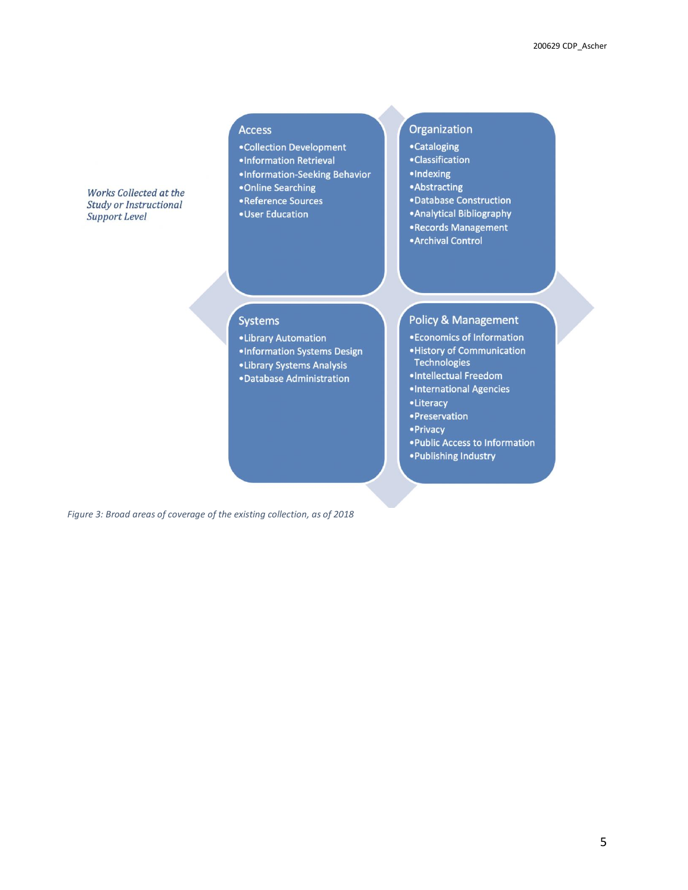#### **Access**

- •Collection Development
- ·Information Retrieval
- .Information-Seeking Behavior
- •Online Searching
- •Reference Sources
- User Education

# Organization

- •Cataloging
- •Classification
- ·Indexing
- Abstracting
- Database Construction
- . Analytical Bibliography
- •Records Management
- Archival Control

#### Works Collected at the **Study or Instructional Support Level**

# Systems

- •Library Automation
- ·Information Systems Design
- •Library Systems Analysis
- Database Administration

#### **Policy & Management**

- Economics of Information
- . History of Communication Technologies
- •Intellectual Freedom
- ·International Agencies
- •Literacy
- Preservation
- · Privacy
- . Public Access to Information
- Publishing Industry

*Figure 3: Broad areas of coverage of the existing collection, as of 2018*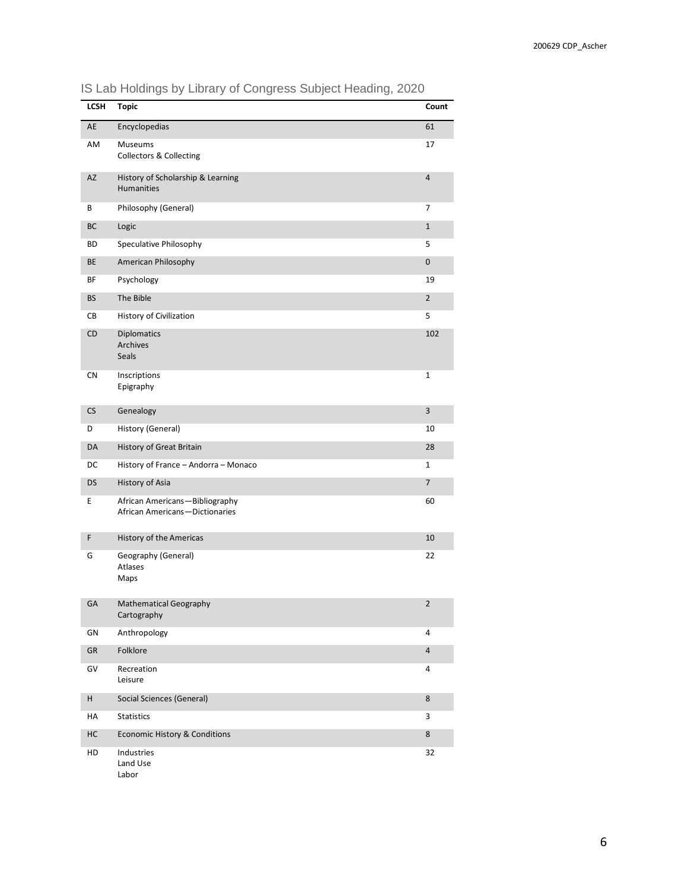|  |  |  | IS Lab Holdings by Library of Congress Subject Heading, 2020 |  |  |
|--|--|--|--------------------------------------------------------------|--|--|
|  |  |  |                                                              |  |  |

| LCSH       | <b>Topic</b>                                                     | Count                   |
|------------|------------------------------------------------------------------|-------------------------|
| AE         | Encyclopedias                                                    | 61                      |
| AM         | Museums<br><b>Collectors &amp; Collecting</b>                    | 17                      |
| AZ         | History of Scholarship & Learning<br>Humanities                  | $\overline{4}$          |
| В          | Philosophy (General)                                             | 7                       |
| BC         | Logic                                                            | $\mathbf{1}$            |
| ВD         | Speculative Philosophy                                           | 5                       |
| BE         | American Philosophy                                              | 0                       |
| ΒF         | Psychology                                                       | 19                      |
| <b>BS</b>  | The Bible                                                        | $\overline{2}$          |
| CВ         | History of Civilization                                          | 5                       |
| CD         | <b>Diplomatics</b><br>Archives<br>Seals                          | 102                     |
| <b>CN</b>  | Inscriptions<br>Epigraphy                                        | 1                       |
| CS         | Genealogy                                                        | 3                       |
| D          | History (General)                                                | 10                      |
| DA         | History of Great Britain                                         | 28                      |
| DC         | History of France - Andorra - Monaco                             | $\mathbf{1}$            |
| <b>DS</b>  | History of Asia                                                  | 7                       |
| Е          | African Americans-Bibliography<br>African Americans-Dictionaries | 60                      |
| F          | History of the Americas                                          | 10                      |
| G          | Geography (General)<br>Atlases<br>Maps                           | 22                      |
| GA         | Mathematical Geography<br>Cartography                            | $\overline{\mathbf{c}}$ |
| GN         | Anthropology                                                     | 4                       |
| ${\sf GR}$ | Folklore                                                         | $\overline{4}$          |
| GV         | Recreation<br>Leisure                                            | 4                       |
| н          | Social Sciences (General)                                        | $\,$ 8 $\,$             |
| HA         | <b>Statistics</b>                                                | 3                       |
| HC         | <b>Economic History &amp; Conditions</b>                         | 8                       |
| HD         | Industries<br>Land Use<br>Labor                                  | 32                      |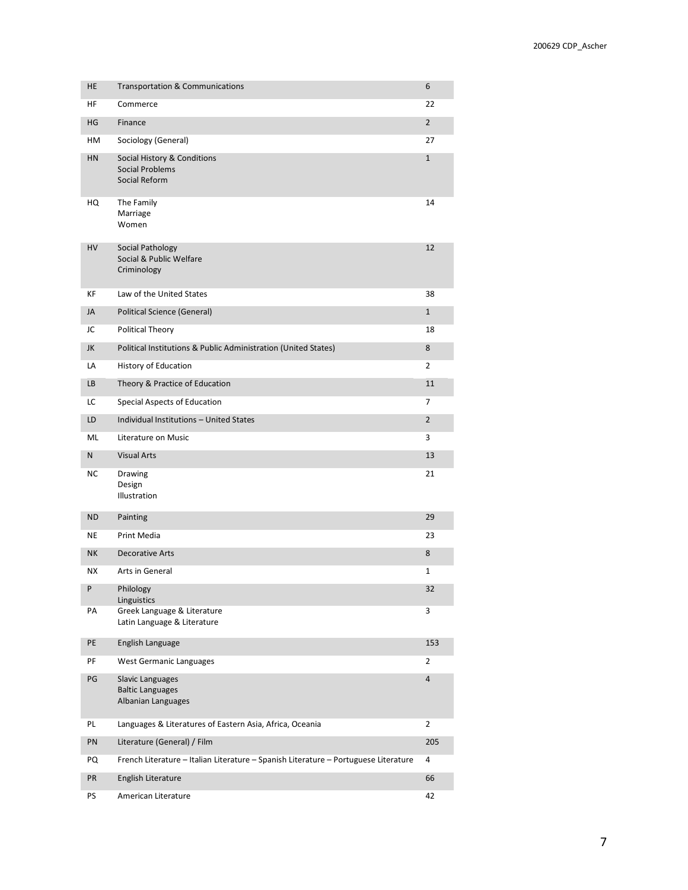| HE        | <b>Transportation &amp; Communications</b>                                          | 6              |
|-----------|-------------------------------------------------------------------------------------|----------------|
| ΗF        | Commerce                                                                            | 22             |
| HG        | Finance                                                                             | $\overline{2}$ |
| HM        | Sociology (General)                                                                 | 27             |
| <b>HN</b> | Social History & Conditions<br><b>Social Problems</b><br>Social Reform              | $\mathbf{1}$   |
| HQ        | The Family<br>Marriage<br>Women                                                     | 14             |
| HV        | Social Pathology<br>Social & Public Welfare<br>Criminology                          | 12             |
| KF        | Law of the United States                                                            | 38             |
| JA        | <b>Political Science (General)</b>                                                  | $\mathbf{1}$   |
| JC        | <b>Political Theory</b>                                                             | 18             |
| JK        | Political Institutions & Public Administration (United States)                      | 8              |
| LA        | History of Education                                                                | 2              |
| LB        | Theory & Practice of Education                                                      | 11             |
| LC        | Special Aspects of Education                                                        | 7              |
| LD        | Individual Institutions - United States                                             | $\overline{2}$ |
| ML        | Literature on Music                                                                 | 3              |
| N         | <b>Visual Arts</b>                                                                  | 13             |
| NC.       | Drawing<br>Design<br><b>Illustration</b>                                            | 21             |
| ND        | Painting                                                                            | 29             |
| <b>NE</b> | Print Media                                                                         | 23             |
| <b>NK</b> | <b>Decorative Arts</b>                                                              | 8              |
| NΧ        | Arts in General                                                                     | 1              |
| P         | Philology<br>Linguistics                                                            | 32             |
| PA        | Greek Language & Literature<br>Latin Language & Literature                          | 3              |
| PE        | English Language                                                                    | 153            |
| PF        | West Germanic Languages                                                             | 2              |
| PG        | <b>Slavic Languages</b><br><b>Baltic Languages</b><br>Albanian Languages            | 4              |
| PL        | Languages & Literatures of Eastern Asia, Africa, Oceania                            | 2              |
| PN        | Literature (General) / Film                                                         | 205            |
| PQ        | French Literature - Italian Literature - Spanish Literature - Portuguese Literature | 4              |
| PR        | English Literature                                                                  | 66             |
| PS        | American Literature                                                                 | 42             |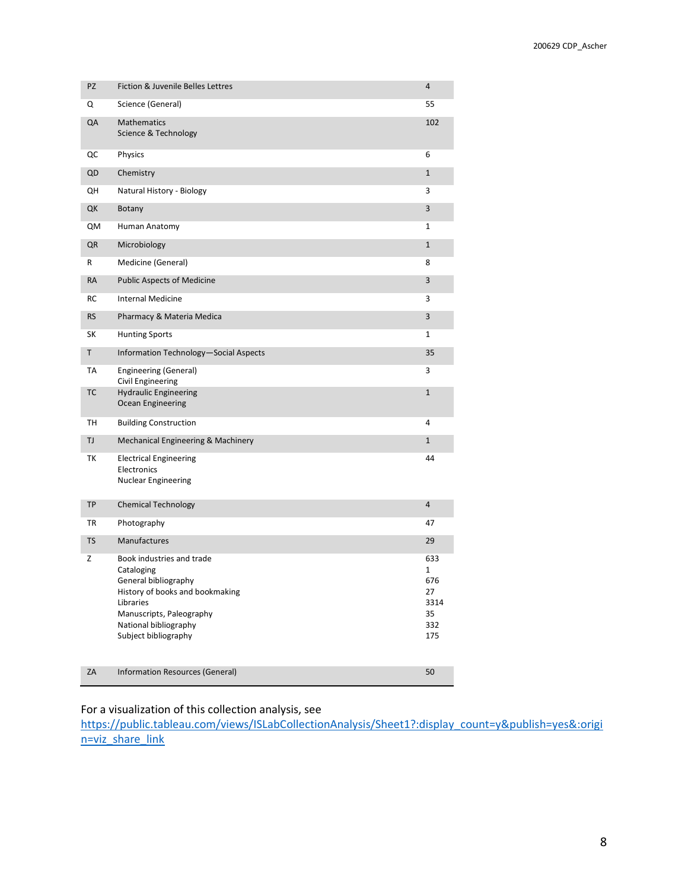| PZ        | Fiction & Juvenile Belles Lettres                                                                                                                                                            | 4                                                 |
|-----------|----------------------------------------------------------------------------------------------------------------------------------------------------------------------------------------------|---------------------------------------------------|
| Q         | Science (General)                                                                                                                                                                            | 55                                                |
| QA        | <b>Mathematics</b><br>Science & Technology                                                                                                                                                   | 102                                               |
| QC        | Physics                                                                                                                                                                                      | 6                                                 |
| QD        | Chemistry                                                                                                                                                                                    | $\mathbf{1}$                                      |
| QН        | Natural History - Biology                                                                                                                                                                    | 3                                                 |
| QK        | Botany                                                                                                                                                                                       | 3                                                 |
| QΜ        | Human Anatomy                                                                                                                                                                                | 1                                                 |
| QR        | Microbiology                                                                                                                                                                                 | $\mathbf{1}$                                      |
| R         | Medicine (General)                                                                                                                                                                           | 8                                                 |
| <b>RA</b> | <b>Public Aspects of Medicine</b>                                                                                                                                                            | 3                                                 |
| <b>RC</b> | Internal Medicine                                                                                                                                                                            | 3                                                 |
| RS        | Pharmacy & Materia Medica                                                                                                                                                                    | 3                                                 |
| SK        | <b>Hunting Sports</b>                                                                                                                                                                        | 1                                                 |
| T         | Information Technology-Social Aspects                                                                                                                                                        | 35                                                |
| TA        | Engineering (General)<br>Civil Engineering                                                                                                                                                   | 3                                                 |
| TC        | <b>Hydraulic Engineering</b><br><b>Ocean Engineering</b>                                                                                                                                     | $\mathbf{1}$                                      |
| TН        | <b>Building Construction</b>                                                                                                                                                                 | 4                                                 |
| TJ        | Mechanical Engineering & Machinery                                                                                                                                                           | $\mathbf{1}$                                      |
| ТK        | <b>Electrical Engineering</b><br>Electronics<br><b>Nuclear Engineering</b>                                                                                                                   | 44                                                |
| TP        | <b>Chemical Technology</b>                                                                                                                                                                   | 4                                                 |
| TR        | Photography                                                                                                                                                                                  | 47                                                |
| TS        | <b>Manufactures</b>                                                                                                                                                                          | 29                                                |
| Z         | Book industries and trade<br>Cataloging<br>General bibliography<br>History of books and bookmaking<br>Libraries<br>Manuscripts, Paleography<br>National bibliography<br>Subject bibliography | 633<br>1<br>676<br>27<br>3314<br>35<br>332<br>175 |
| ZA        | <b>Information Resources (General)</b>                                                                                                                                                       | 50                                                |

# For a visualization of this collection analysis, see

[https://public.tableau.com/views/ISLabCollectionAnalysis/Sheet1?:display\\_count=y&publish=yes&:origi](https://public.tableau.com/views/ISLabCollectionAnalysis/Sheet1?:display_count=y&publish=yes&:origin=viz_share_link) [n=viz\\_share\\_link](https://public.tableau.com/views/ISLabCollectionAnalysis/Sheet1?:display_count=y&publish=yes&:origin=viz_share_link)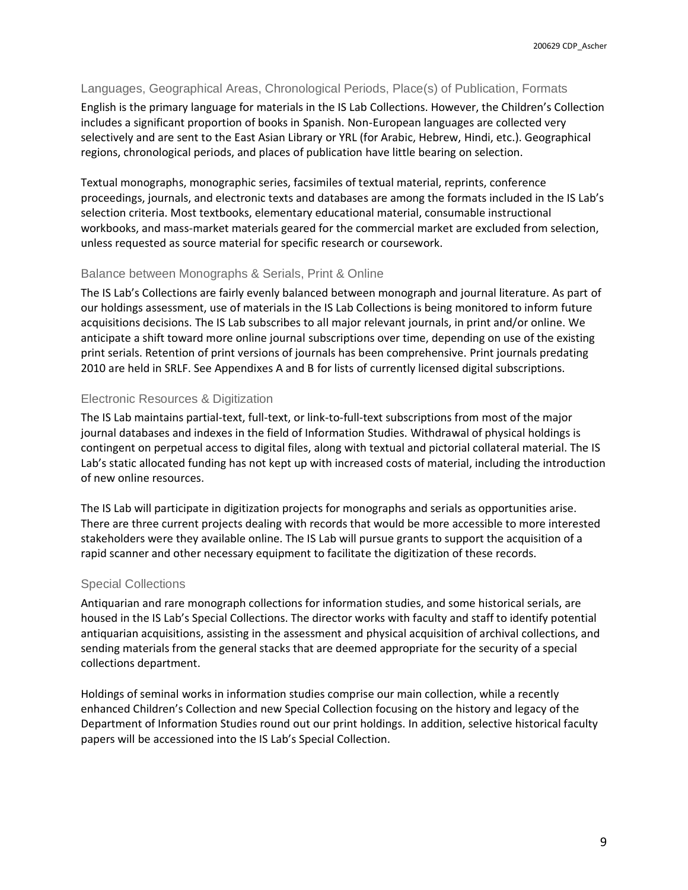### Languages, Geographical Areas, Chronological Periods, Place(s) of Publication, Formats

English is the primary language for materials in the IS Lab Collections. However, the Children's Collection includes a significant proportion of books in Spanish. Non-European languages are collected very selectively and are sent to the East Asian Library or YRL (for Arabic, Hebrew, Hindi, etc.). Geographical regions, chronological periods, and places of publication have little bearing on selection.

Textual monographs, monographic series, facsimiles of textual material, reprints, conference proceedings, journals, and electronic texts and databases are among the formats included in the IS Lab's selection criteria. Most textbooks, elementary educational material, consumable instructional workbooks, and mass-market materials geared for the commercial market are excluded from selection, unless requested as source material for specific research or coursework.

#### Balance between Monographs & Serials, Print & Online

The IS Lab's Collections are fairly evenly balanced between monograph and journal literature. As part of our holdings assessment, use of materials in the IS Lab Collections is being monitored to inform future acquisitions decisions. The IS Lab subscribes to all major relevant journals, in print and/or online. We anticipate a shift toward more online journal subscriptions over time, depending on use of the existing print serials. Retention of print versions of journals has been comprehensive. Print journals predating 2010 are held in SRLF. See Appendixes A and B for lists of currently licensed digital subscriptions.

#### Electronic Resources & Digitization

The IS Lab maintains partial-text, full-text, or link-to-full-text subscriptions from most of the major journal databases and indexes in the field of Information Studies. Withdrawal of physical holdings is contingent on perpetual access to digital files, along with textual and pictorial collateral material. The IS Lab's static allocated funding has not kept up with increased costs of material, including the introduction of new online resources.

The IS Lab will participate in digitization projects for monographs and serials as opportunities arise. There are three current projects dealing with records that would be more accessible to more interested stakeholders were they available online. The IS Lab will pursue grants to support the acquisition of a rapid scanner and other necessary equipment to facilitate the digitization of these records.

#### Special Collections

Antiquarian and rare monograph collections for information studies, and some historical serials, are housed in the IS Lab's Special Collections. The director works with faculty and staff to identify potential antiquarian acquisitions, assisting in the assessment and physical acquisition of archival collections, and sending materials from the general stacks that are deemed appropriate for the security of a special collections department.

Holdings of seminal works in information studies comprise our main collection, while a recently enhanced Children's Collection and new Special Collection focusing on the history and legacy of the Department of Information Studies round out our print holdings. In addition, selective historical faculty papers will be accessioned into the IS Lab's Special Collection.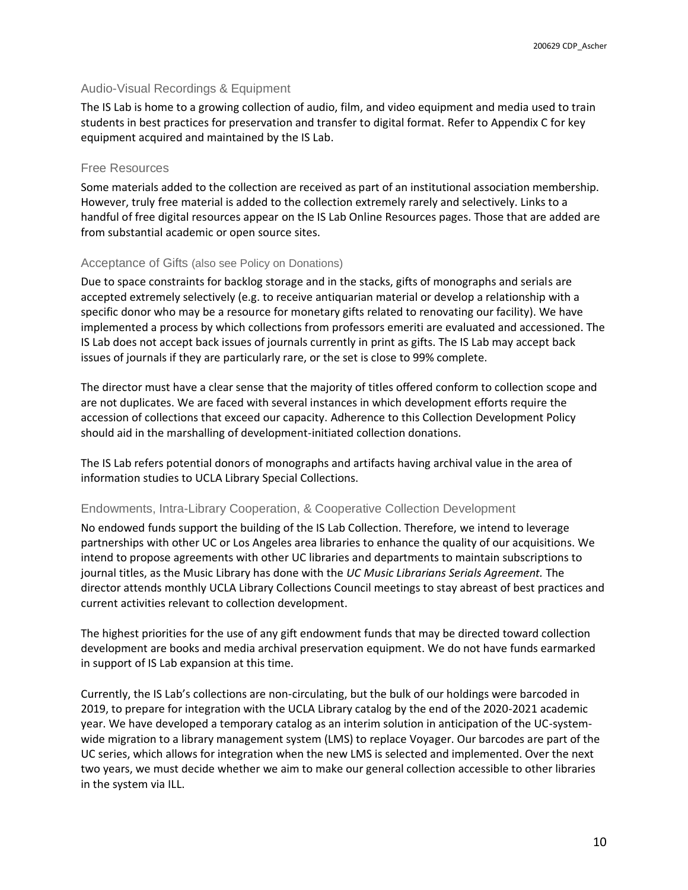#### Audio-Visual Recordings & Equipment

The IS Lab is home to a growing collection of audio, film, and video equipment and media used to train students in best practices for preservation and transfer to digital format. Refer to Appendix C for key equipment acquired and maintained by the IS Lab.

#### Free Resources

Some materials added to the collection are received as part of an institutional association membership. However, truly free material is added to the collection extremely rarely and selectively. Links to a handful of free digital resources appear on the IS Lab Online Resources pages. Those that are added are from substantial academic or open source sites.

#### Acceptance of Gifts (also see Policy on Donations)

Due to space constraints for backlog storage and in the stacks, gifts of monographs and serials are accepted extremely selectively (e.g. to receive antiquarian material or develop a relationship with a specific donor who may be a resource for monetary gifts related to renovating our facility). We have implemented a process by which collections from professors emeriti are evaluated and accessioned. The IS Lab does not accept back issues of journals currently in print as gifts. The IS Lab may accept back issues of journals if they are particularly rare, or the set is close to 99% complete.

The director must have a clear sense that the majority of titles offered conform to collection scope and are not duplicates. We are faced with several instances in which development efforts require the accession of collections that exceed our capacity. Adherence to this Collection Development Policy should aid in the marshalling of development-initiated collection donations.

The IS Lab refers potential donors of monographs and artifacts having archival value in the area of information studies to UCLA Library Special Collections.

#### Endowments, Intra-Library Cooperation, & Cooperative Collection Development

No endowed funds support the building of the IS Lab Collection. Therefore, we intend to leverage partnerships with other UC or Los Angeles area libraries to enhance the quality of our acquisitions. We intend to propose agreements with other UC libraries and departments to maintain subscriptions to journal titles, as the Music Library has done with the *UC Music Librarians Serials Agreement.* The director attends monthly UCLA Library Collections Council meetings to stay abreast of best practices and current activities relevant to collection development.

The highest priorities for the use of any gift endowment funds that may be directed toward collection development are books and media archival preservation equipment. We do not have funds earmarked in support of IS Lab expansion at this time.

Currently, the IS Lab's collections are non-circulating, but the bulk of our holdings were barcoded in 2019, to prepare for integration with the UCLA Library catalog by the end of the 2020-2021 academic year. We have developed a temporary catalog as an interim solution in anticipation of the UC-systemwide migration to a library management system (LMS) to replace Voyager. Our barcodes are part of the UC series, which allows for integration when the new LMS is selected and implemented. Over the next two years, we must decide whether we aim to make our general collection accessible to other libraries in the system via ILL.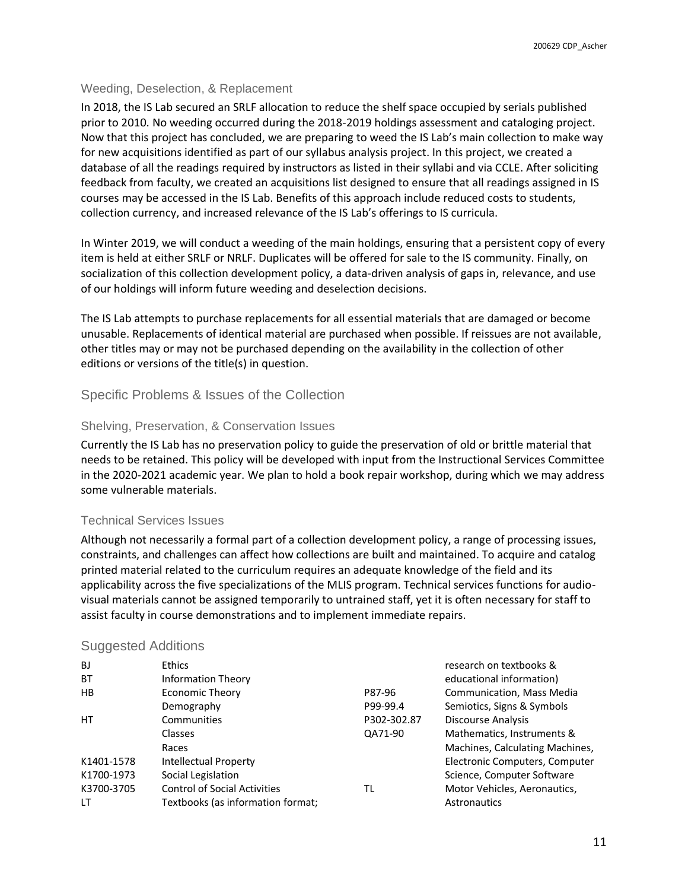#### Weeding, Deselection, & Replacement

In 2018, the IS Lab secured an SRLF allocation to reduce the shelf space occupied by serials published prior to 2010. No weeding occurred during the 2018-2019 holdings assessment and cataloging project. Now that this project has concluded, we are preparing to weed the IS Lab's main collection to make way for new acquisitions identified as part of our syllabus analysis project. In this project, we created a database of all the readings required by instructors as listed in their syllabi and via CCLE. After soliciting feedback from faculty, we created an acquisitions list designed to ensure that all readings assigned in IS courses may be accessed in the IS Lab. Benefits of this approach include reduced costs to students, collection currency, and increased relevance of the IS Lab's offerings to IS curricula.

In Winter 2019, we will conduct a weeding of the main holdings, ensuring that a persistent copy of every item is held at either SRLF or NRLF. Duplicates will be offered for sale to the IS community. Finally, on socialization of this collection development policy, a data-driven analysis of gaps in, relevance, and use of our holdings will inform future weeding and deselection decisions.

The IS Lab attempts to purchase replacements for all essential materials that are damaged or become unusable. Replacements of identical material are purchased when possible. If reissues are not available, other titles may or may not be purchased depending on the availability in the collection of other editions or versions of the title(s) in question.

### Specific Problems & Issues of the Collection

#### Shelving, Preservation, & Conservation Issues

Currently the IS Lab has no preservation policy to guide the preservation of old or brittle material that needs to be retained. This policy will be developed with input from the Instructional Services Committee in the 2020-2021 academic year. We plan to hold a book repair workshop, during which we may address some vulnerable materials.

#### Technical Services Issues

Although not necessarily a formal part of a collection development policy, a range of processing issues, constraints, and challenges can affect how collections are built and maintained. To acquire and catalog printed material related to the curriculum requires an adequate knowledge of the field and its applicability across the five specializations of the MLIS program. Technical services functions for audiovisual materials cannot be assigned temporarily to untrained staff, yet it is often necessary for staff to assist faculty in course demonstrations and to implement immediate repairs.

#### Suggested Additions

| BJ         | <b>Ethics</b>                       |             | research on textbooks &         |
|------------|-------------------------------------|-------------|---------------------------------|
| <b>BT</b>  | <b>Information Theory</b>           |             | educational information)        |
| <b>HB</b>  | Economic Theory                     | P87-96      | Communication, Mass Media       |
|            | Demography                          | P99-99.4    | Semiotics, Signs & Symbols      |
| HT         | Communities                         | P302-302.87 | <b>Discourse Analysis</b>       |
|            | <b>Classes</b>                      | QA71-90     | Mathematics, Instruments &      |
|            | Races                               |             | Machines, Calculating Machines, |
| K1401-1578 | Intellectual Property               |             | Electronic Computers, Computer  |
| K1700-1973 | Social Legislation                  |             | Science, Computer Software      |
| K3700-3705 | <b>Control of Social Activities</b> | ΤI          | Motor Vehicles, Aeronautics,    |
| LT         | Textbooks (as information format;   |             | <b>Astronautics</b>             |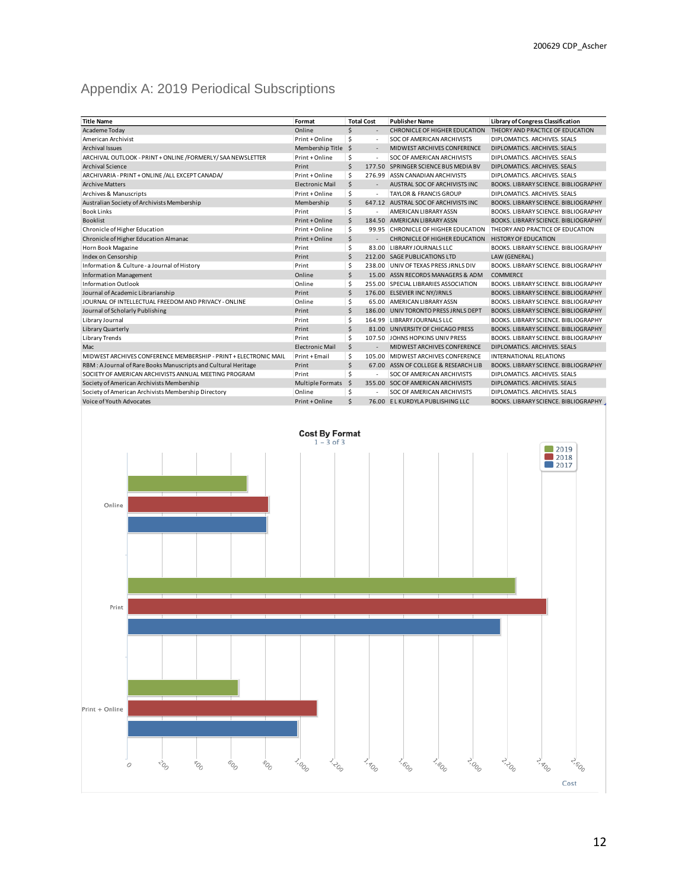# Appendix A: 2019 Periodical Subscriptions

| <b>Title Name</b>                                                | Format                                | <b>Total Cost</b>  |                          | <b>Publisher Name</b>                                                        | Library of Congress Classification                             |  |
|------------------------------------------------------------------|---------------------------------------|--------------------|--------------------------|------------------------------------------------------------------------------|----------------------------------------------------------------|--|
| Academe Today                                                    | Online                                | $\mathsf{\hat{S}}$ | $\overline{\phantom{a}}$ |                                                                              | CHRONICLE OF HIGHER EDUCATION THEORY AND PRACTICE OF EDUCATION |  |
| American Archivist                                               | Print + Online                        | \$                 | $\epsilon$               | SOC OF AMERICAN ARCHIVISTS                                                   | DIPLOMATICS, ARCHIVES, SEALS                                   |  |
| <b>Archival Issues</b>                                           | Membership Title \$                   |                    | $\overline{\phantom{a}}$ | MIDWEST ARCHIVES CONFERENCE                                                  | DIPLOMATICS. ARCHIVES. SEALS                                   |  |
| ARCHIVAL OUTLOOK - PRINT + ONLINE /FORMERLY/ SAA NEWSLETTER      | Print + Online                        | Ŝ.                 | $\overline{\phantom{a}}$ | SOC OF AMERICAN ARCHIVISTS                                                   | DIPLOMATICS, ARCHIVES, SEALS                                   |  |
| <b>Archival Science</b>                                          | Print                                 | \$                 | 177.50                   | SPRINGER SCIENCE BUS MEDIA BV                                                | DIPLOMATICS. ARCHIVES. SEALS                                   |  |
| ARCHIVARIA - PRINT + ONLINE / ALL EXCEPT CANADA/                 | Print + Online                        | Ś.                 |                          | 276.99 ASSN CANADIAN ARCHIVISTS                                              | DIPLOMATICS, ARCHIVES, SEALS                                   |  |
| <b>Archive Matters</b>                                           | <b>Electronic Mail</b>                | \$                 | $\overline{\phantom{a}}$ | AUSTRAL SOC OF ARCHIVISTS INC                                                | BOOKS. LIBRARY SCIENCE. BIBLIOGRAPHY                           |  |
| Archives & Manuscripts                                           | Print + Online                        | Ś.                 | $\overline{\phantom{a}}$ | <b>TAYLOR &amp; FRANCIS GROUP</b>                                            | DIPLOMATICS, ARCHIVES, SEALS                                   |  |
| Australian Society of Archivists Membership                      | Membership                            | \$                 |                          | 647.12 AUSTRAL SOC OF ARCHIVISTS INC                                         | BOOKS. LIBRARY SCIENCE. BIBLIOGRAPHY                           |  |
| <b>Book Links</b>                                                | Print                                 | \$                 | ÷.                       | AMERICAN LIBRARY ASSN                                                        | BOOKS. LIBRARY SCIENCE. BIBLIOGRAPHY                           |  |
| <b>Booklist</b>                                                  | Print + Online                        | \$                 |                          | 184.50 AMERICAN LIBRARY ASSN                                                 | BOOKS, LIBRARY SCIENCE, BIBLIOGRAPHY                           |  |
| Chronicle of Higher Education                                    | Print + Online                        | \$                 |                          | 99.95 CHRONICLE OF HIGHER EDUCATION                                          | THEORY AND PRACTICE OF EDUCATION                               |  |
| Chronicle of Higher Education Almanac                            | Print + Online                        | \$                 |                          | <b>CHRONICLE OF HIGHER EDUCATION</b>                                         | <b>HISTORY OF EDUCATION</b>                                    |  |
| Horn Book Magazine                                               | Print                                 | \$                 |                          | 83.00 LIBRARY JOURNALS LLC                                                   | BOOKS, LIBRARY SCIENCE, BIBLIOGRAPHY                           |  |
| Index on Censorship                                              | Print                                 | \$                 |                          | 212.00 SAGE PUBLICATIONS LTD                                                 | LAW (GENERAL)                                                  |  |
| Information & Culture - a Journal of History                     | Print                                 | \$                 |                          | 238.00 UNIV OF TEXAS PRESS JRNLS DIV                                         | BOOKS. LIBRARY SCIENCE. BIBLIOGRAPHY                           |  |
| <b>Information Management</b>                                    | Online                                | \$                 |                          | 15.00 ASSN RECORDS MANAGERS & ADM                                            | <b>COMMERCE</b>                                                |  |
| <b>Information Outlook</b>                                       | Online                                | \$                 |                          | 255.00 SPECIAL LIBRARIES ASSOCIATION<br>BOOKS. LIBRARY SCIENCE. BIBLIOGRAPHY |                                                                |  |
| Journal of Academic Librarianship                                | Print                                 | \$                 |                          | 176.00 ELSEVIER INC NY/JRNLS                                                 | BOOKS. LIBRARY SCIENCE. BIBLIOGRAPHY                           |  |
| JOURNAL OF INTELLECTUAL FREEDOM AND PRIVACY - ONLINE             | Online                                | \$                 |                          | 65.00 AMERICAN LIBRARY ASSN<br>BOOKS. LIBRARY SCIENCE. BIBLIOGRAPHY          |                                                                |  |
| Journal of Scholarly Publishing                                  | Print                                 | $\mathsf{\hat{S}}$ |                          | 186.00 UNIV TORONTO PRESS JRNLS DEPT<br>BOOKS. LIBRARY SCIENCE. BIBLIOGRAPHY |                                                                |  |
| Library Journal                                                  | Print                                 | \$                 |                          | 164.99 LIBRARY JOURNALS LLC<br>BOOKS. LIBRARY SCIENCE. BIBLIOGRAPHY          |                                                                |  |
| Library Quarterly                                                | Print                                 | Ŝ.                 |                          | 81.00 UNIVERSITY OF CHICAGO PRESS<br>BOOKS, LIBRARY SCIENCE, BIBLIOGRAPHY    |                                                                |  |
| <b>Library Trends</b>                                            | Print                                 | \$                 |                          | 107.50 JOHNS HOPKINS UNIV PRESS                                              | BOOKS, LIBRARY SCIENCE, BIBLIOGRAPHY                           |  |
| Mac                                                              | <b>Electronic Mail</b>                | Ś.                 | $\overline{\phantom{a}}$ | MIDWEST ARCHIVES CONFERENCE                                                  | DIPLOMATICS, ARCHIVES, SEALS                                   |  |
| MIDWEST ARCHIVES CONFERENCE MEMBERSHIP - PRINT + ELECTRONIC MAIL | Print + Email                         | \$                 |                          | 105.00 MIDWEST ARCHIVES CONFERENCE                                           | <b>INTERNATIONAL RELATIONS</b>                                 |  |
| RBM: A Journal of Rare Books Manuscripts and Cultural Heritage   | Print                                 | \$                 |                          | 67.00 ASSN OF COLLEGE & RESEARCH LIB<br>BOOKS. LIBRARY SCIENCE. BIBLIOGRAPHY |                                                                |  |
| SOCIETY OF AMERICAN ARCHIVISTS ANNUAL MEETING PROGRAM            | Print                                 | \$                 | ٠                        | SOC OF AMERICAN ARCHIVISTS<br>DIPLOMATICS, ARCHIVES, SEALS                   |                                                                |  |
| Society of American Archivists Membership                        | Multiple Formats                      | \$                 |                          | 355.00 SOC OF AMERICAN ARCHIVISTS<br>DIPLOMATICS. ARCHIVES. SEALS            |                                                                |  |
| Society of American Archivists Membership Directory              | Online                                | \$                 | $\overline{\phantom{a}}$ | SOC OF AMERICAN ARCHIVISTS<br>DIPLOMATICS, ARCHIVES, SEALS                   |                                                                |  |
| Voice of Youth Advocates                                         | Print + Online                        | $\mathsf{\hat{S}}$ |                          | 76.00 EL KURDYLA PUBLISHING LLC<br>BOOKS. LIBRARY SCIENCE. BIBLIOGRAPHY      |                                                                |  |
| Online                                                           | <b>Cost By Format</b><br>$1 - 3$ of 3 |                    |                          |                                                                              | 2019<br>2018<br>2017                                           |  |
|                                                                  |                                       |                    |                          |                                                                              |                                                                |  |

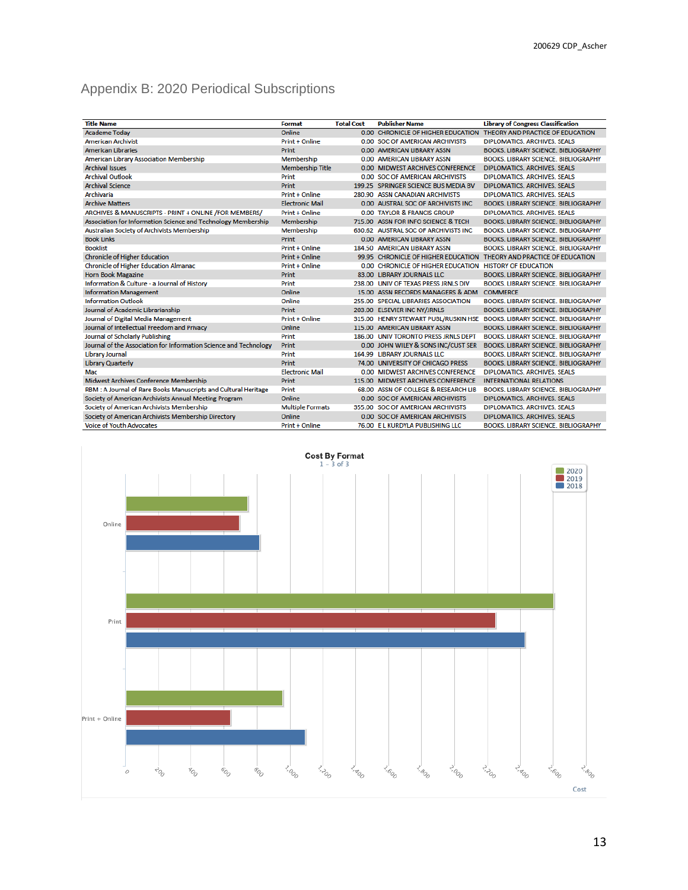# Appendix B: 2020 Periodical Subscriptions

| <b>Title Name</b>                                                 | Format                  | <b>Total Cost</b> | <b>Publisher Name</b>                                   | <b>Library of Congress Classification</b>                                 |
|-------------------------------------------------------------------|-------------------------|-------------------|---------------------------------------------------------|---------------------------------------------------------------------------|
| <b>Academe Todav</b>                                              | Online                  |                   |                                                         | 0.00 CHRONICLE OF HIGHER EDUCATION THEORY AND PRACTICE OF EDUCATION       |
| <b>American Archivist</b>                                         | <b>Print + Online</b>   |                   | <b>0.00 SOC OF AMERICAN ARCHIVISTS</b>                  | DIPLOMATICS, ARCHIVES, SEALS                                              |
| <b>American Libraries</b>                                         | <b>Print</b>            |                   | <b>0.00 AMERICAN LIBRARY ASSN</b>                       | <b>BOOKS, LIBRARY SCIENCE, BIBLIOGRAPHY</b>                               |
| American Library Association Membership                           | Membership              |                   | <b>0.00 AMERICAN LIBRARY ASSN</b>                       | <b>BOOKS, LIBRARY SCIENCE, BIBLIOGRAPHY</b>                               |
| <b>Archival Issues</b>                                            | <b>Membership Title</b> |                   | 0.00 MIDWEST ARCHIVES CONFERENCE                        | <b>DIPLOMATICS, ARCHIVES, SEALS</b>                                       |
| <b>Archival Outlook</b>                                           | Print                   |                   | <b>0.00 SOC OF AMERICAN ARCHIVISTS</b>                  | <b>DIPLOMATICS, ARCHIVES, SEALS</b>                                       |
| <b>Archival Science</b>                                           | <b>Print</b>            |                   | 199.25 SPRINGER SCIENCE BUS MEDIA BV                    | DIPLOMATICS. ARCHIVES. SEALS                                              |
| <b>Archivaria</b>                                                 | Print + Online          |                   | 280.90 ASSN CANADIAN ARCHIVISTS                         | DIPLOMATICS, ARCHIVES, SEALS                                              |
| <b>Archive Matters</b>                                            | <b>Electronic Mail</b>  |                   | 0.00 AUSTRAL SOC OF ARCHIVISTS INC.                     | <b>BOOKS, LIBRARY SCIENCE, BIBLIOGRAPHY</b>                               |
| ARCHIVES & MANUSCRIPTS - PRINT + ONLINE /FOR MEMBERS/             | <b>Print + Online</b>   |                   | <b>0.00 TAYLOR &amp; FRANCIS GROUP</b>                  | DIPLOMATICS, ARCHIVES, SEALS                                              |
| Association for Information Science and Technology Membership     | Membership              |                   | 715.00 ASSN FOR INFO SCIENCE & TECH                     | <b>BOOKS, LIBRARY SCIENCE, BIBLIOGRAPHY</b>                               |
| Australian Society of Archivists Membership                       | Membership              |                   | 630.62 AUSTRAL SOC OF ARCHIVISTS INC                    | <b>BOOKS, LIBRARY SCIENCE, BIBLIOGRAPHY</b>                               |
| <b>Book Links</b>                                                 | Print                   |                   | <b>0.00 AMERICAN LIBRARY ASSN</b>                       | <b>BOOKS, LIBRARY SCIENCE, BIBLIOGRAPHY</b>                               |
| <b>Booklist</b>                                                   | <b>Print + Online</b>   |                   | 184.50 AMERICAN LIBRARY ASSN                            | <b>BOOKS, LIBRARY SCIENCE, BIBLIOGRAPHY</b>                               |
| <b>Chronicle of Higher Education</b>                              | <b>Print + Online</b>   |                   |                                                         | 99.95 CHRONICLE OF HIGHER EDUCATION THEORY AND PRACTICE OF EDUCATION      |
| <b>Chronicle of Higher Education Almanac</b>                      | <b>Print + Online</b>   |                   | 0.00 CHRONICLE OF HIGHER EDUCATION HISTORY OF EDUCATION |                                                                           |
| <b>Horn Book Magazine</b>                                         | <b>Print</b>            |                   | 83.00 LIBRARY JOURNALS LLC                              | <b>BOOKS, LIBRARY SCIENCE, BIBLIOGRAPHY</b>                               |
| Information & Culture - a Journal of History                      | Print                   |                   | 238.00 UNIV OF TEXAS PRESS JRNLS DIV                    | <b>BOOKS. LIBRARY SCIENCE. BIBLIOGRAPHY</b>                               |
| <b>Information Management</b>                                     | Online                  |                   | 15.00 ASSN RECORDS MANAGERS & ADM                       | <b>COMMERCE</b>                                                           |
| <b>Information Outlook</b>                                        | Online                  |                   | 255.00 SPECIAL LIBRARIES ASSOCIATION                    | <b>BOOKS, LIBRARY SCIENCE, BIBLIOGRAPHY</b>                               |
| Journal of Academic Librarianship                                 | <b>Print</b>            |                   | 203.00 ELSEVIER INC NY/JRNLS                            | <b>BOOKS, LIBRARY SCIENCE, BIBLIOGRAPHY</b>                               |
| Journal of Digital Media Management                               | Print + Online          |                   |                                                         | 315.00 HENRY STEWART PUBL/RUSKIN HSE BOOKS. LIBRARY SCIENCE. BIBLIOGRAPHY |
| Journal of Intellectual Freedom and Privacy                       | Online                  |                   | 115.00 AMERICAN LIBRARY ASSN                            | <b>BOOKS, LIBRARY SCIENCE, BIBLIOGRAPHY</b>                               |
| Journal of Scholarly Publishing                                   | Print                   |                   | 186.00 UNIV TORONTO PRESS JRNLS DEPT                    | <b>BOOKS, LIBRARY SCIENCE, BIBLIOGRAPHY</b>                               |
| Journal of the Association for Information Science and Technology | Print                   |                   | 0.00 JOHN WILEY & SONS INC/CUST SER                     | <b>BOOKS, LIBRARY SCIENCE, BIBLIOGRAPHY</b>                               |
| <b>Library Journal</b>                                            | Print                   |                   | 164.99 LIBRARY JOURNALS LLC                             | <b>BOOKS, LIBRARY SCIENCE, BIBLIOGRAPHY</b>                               |
| <b>Library Quarterly</b>                                          | <b>Print</b>            |                   | 74.00 UNIVERSITY OF CHICAGO PRESS                       | <b>BOOKS, LIBRARY SCIENCE, BIBLIOGRAPHY</b>                               |
| Mac                                                               | <b>Electronic Mail</b>  |                   | 0.00 MIDWEST ARCHIVES CONFERENCE                        | DIPLOMATICS, ARCHIVES, SEALS                                              |
| Midwest Archives Conference Membership                            | <b>Print</b>            |                   | 115.00 MIDWEST ARCHIVES CONFERENCE                      | <b>INTERNATIONAL RELATIONS</b>                                            |
| RBM : A Journal of Rare Books Manuscripts and Cultural Heritage   | Print                   |                   | 68.00 ASSN OF COLLEGE & RESEARCH LIB                    | <b>BOOKS, LIBRARY SCIENCE, BIBLIOGRAPHY</b>                               |
| Society of American Archivists Annual Meeting Program             | Online                  |                   | 0.00 SOC OF AMERICAN ARCHIVISTS                         | DIPLOMATICS, ARCHIVES, SEALS                                              |
| Society of American Archivists Membership                         | <b>Multiple Formats</b> |                   | 355.00 SOC OF AMERICAN ARCHIVISTS                       | DIPLOMATICS, ARCHIVES, SEALS                                              |
| Society of American Archivists Membership Directory               | Online                  |                   | 0.00 SOC OF AMERICAN ARCHIVISTS                         | DIPLOMATICS, ARCHIVES, SEALS                                              |
| <b>Voice of Youth Advocates</b>                                   | Print + Online          |                   | 76.00 E L KURDYLA PUBLISHING LLC                        | <b>BOOKS, LIBRARY SCIENCE, BIBLIOGRAPHY</b>                               |

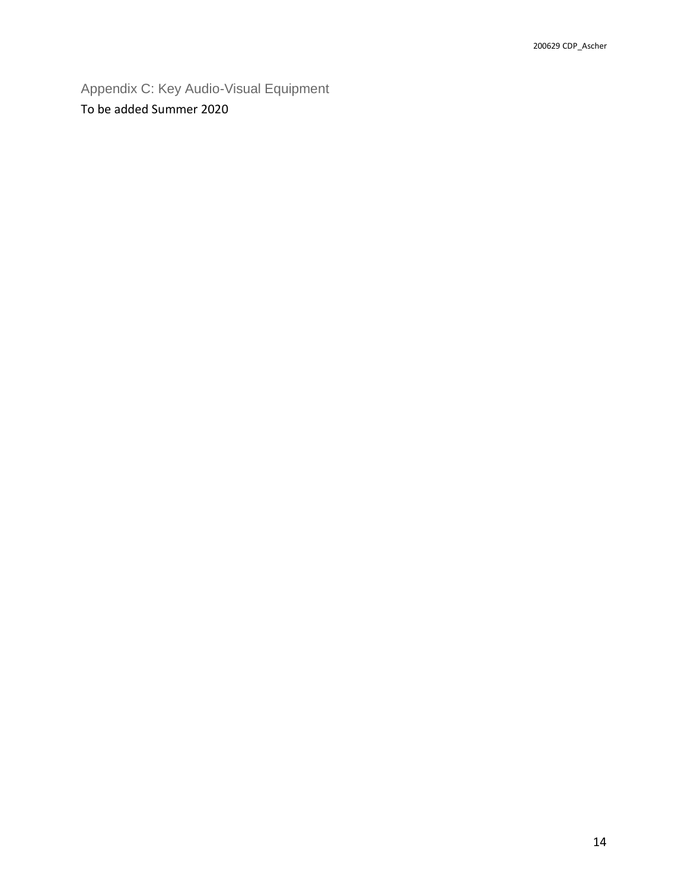Appendix C: Key Audio-Visual Equipment To be added Summer 2020